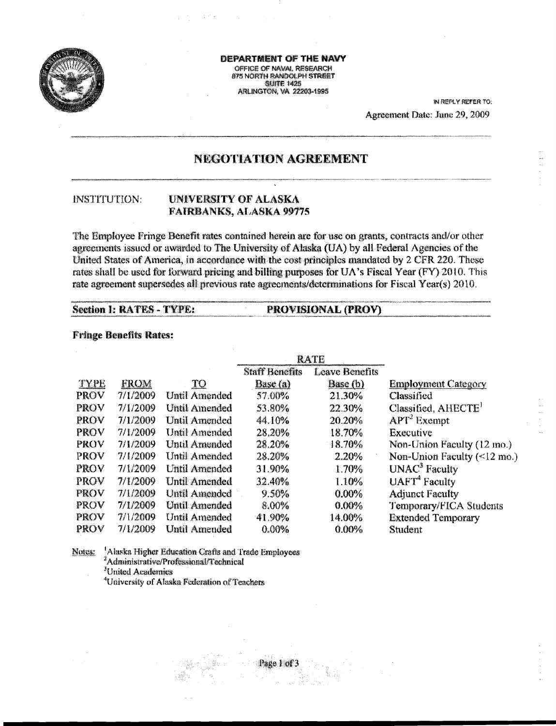

**DEPARTMENT OF THE NAVY** OFFICE OF NAVAL RESEARCH 875 NORTH RANDOLPH STREET **SUITE 1425 ARLINGTON, VA 22203-1995** 

> IN REPLY REFER TO: Agreement Date: June 29, 2009

# NEGOTIATION AGREEMENT

#### **INSTITUTION:** UNIVERSITY OF ALASKA **FAIRBANKS, ALASKA 99775**

The Employee Fringe Benefit rates contained herein are for use on grants, contracts and/or other agreements issued or awarded to The University of Alaska (UA) by all Federal Agencies of the United States of America, in accordance with the cost principles mandated by 2 CFR 220. These rates shall be used for forward pricing and billing purposes for UA's Fiscal Year (FY) 2010. This rate agreement supersedes all previous rate agreements/determinations for Fiscal Year(s) 2010.

### **Section 1: RATES - TYPE:**

#### **Fringe Benefits Rates:**

|             |             |                      |                       | <b>RATE</b>    |                                           |
|-------------|-------------|----------------------|-----------------------|----------------|-------------------------------------------|
|             |             |                      | <b>Staff Benefits</b> | Leave Benefits |                                           |
| TYPE        | <b>FROM</b> | $\operatorname{TO}$  | Base (a)              | Base (b)       | <b>Employment Category</b>                |
| PROV        | 7/1/2009    | <b>Until Amended</b> | 57.00%                | 21.30%         | Classified                                |
| <b>PROV</b> | 7/1/2009    | Until Amended        | 53.80%                | 22.30%         | Classified, AHECTE'                       |
| <b>PROV</b> | 7/1/2009    | <b>Until Amended</b> | 44.10%                | 20.20%         | $\mathbf{APT}^2$ Exempt                   |
| <b>PROV</b> | 7/1/2009    | Until Amended        | 28.20%                | 18.70%         | Executive                                 |
| PROV        | 7/1/2009    | <b>Until Amended</b> | 28.20%                | 18.70%         | Non-Union Faculty (12 mo.)                |
| PROV        | 7/1/2009    | Until Amended        | 28.20%                | 2.20%          | Non-Union Faculty $(\leq 12 \text{ mo.})$ |
| PROV        | 7/1/2009    | <b>Until Amended</b> | 31.90%                | 1.70%          | UNAC <sup>3</sup> Faculty                 |
| PROV        | 7/1/2009    | <b>Until Amended</b> | 32.40%                | 1.10%          | $UAFT4$ Faculty                           |
| <b>PROV</b> | 7/1/2009    | <b>Until Amended</b> | 9.50%                 | $0.00\%$       | <b>Adjunct Faculty</b>                    |
| <b>PROV</b> | 7/1/2009    | <b>Until Amended</b> | 8.00%                 | 0.00%          | Temporary/FICA Students                   |
| PROV        | 7/1/2009    | Until Amended        | 41.90%                | 14.00%         | <b>Extended Temporary</b>                 |
| PROV        | 7/1/2009    | <b>Until Amended</b> | 0.00%                 | 0.00%          | Student                                   |

PROVISIONAL (PROV)

<sup>1</sup>Alaska Higher Education Crafts and Trade Employees Notes: <sup>2</sup>Administrative/Professional/Technical <sup>3</sup>United Academics <sup>4</sup>University of Alaska Federation of Teachers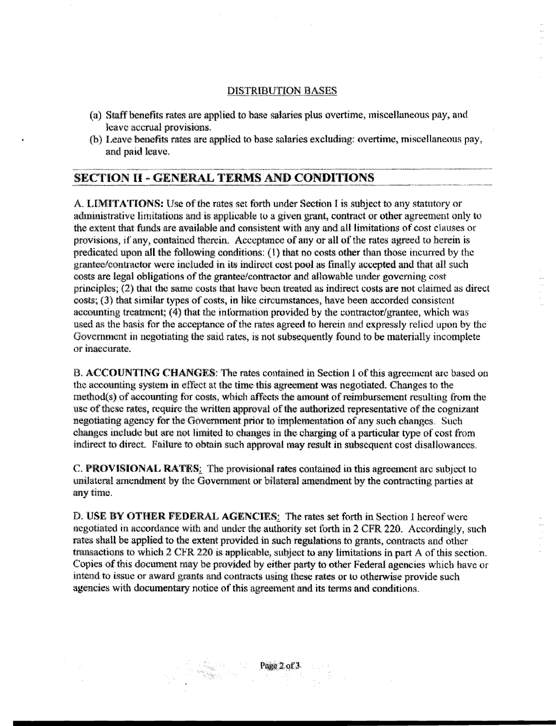## **DISTRIBUTION BASES**

- (a) Staff benefits rates are applied to base salaries plus overtime, miscellaneous pay, and leave accrual provisions.
- (b) Leave benefits rates are applied to base salaries excluding: overtime, miscellaneous pay, and paid leave.

# **SECTION II - GENERAL TERMS AND CONDITIONS**

A. LIMITATIONS: Use of the rates set forth under Section I is subject to any statutory or administrative limitations and is applicable to a given grant, contract or other agreement only to the extent that funds are available and consistent with any and all limitations of cost clauses or provisions, if any, contained therein. Acceptance of any or all of the rates agreed to herein is predicated upon all the following conditions: (1) that no costs other than those incurred by the grantee/contractor were included in its indirect cost pool as finally accepted and that all such costs are legal obligations of the grantee/contractor and allowable under governing cost principles; (2) that the same costs that have been treated as indirect costs are not claimed as direct costs; (3) that similar types of costs, in like circumstances, have been accorded consistent accounting treatment; (4) that the information provided by the contractor/grantee, which was used as the basis for the acceptance of the rates agreed to herein and expressly relied upon by the Government in negotiating the said rates, is not subsequently found to be materially incomplete or inaecurate.

B. ACCOUNTING CHANGES: The rates contained in Section 1 of this agreement are based on the accounting system in effect at the time this agreement was negotiated. Changes to the method(s) of accounting for costs, which affects the amount of reimbursement resulting from the use of these rates, require the written approval of the authorized representative of the cognizant negotiating agency for the Government prior to implementation of any such changes. Such changes include but are not limited to changes in the charging of a particular type of cost from indirect to direct. Failure to obtain such approval may result in subsequent cost disallowances.

C. PROVISIONAL RATES: The provisional rates contained in this agreement are subject to unilateral amendment by the Government or bilateral amendment by the contracting parties at any time.

D. USE BY OTHER FEDERAL AGENCIES: The rates set forth in Section 1 hereof were negotiated in accordance with and under the authority set forth in 2 CFR 220. Accordingly, such rates shall be applied to the extent provided in such regulations to grants, contracts and other transactions to which 2 CFR 220 is applicable, subject to any limitations in part A of this section. Copies of this document may be provided by either party to other Federal agencies which have or intend to issue or award grants and contracts using these rates or to otherwise provide such agencies with documentary notice of this agreement and its terms and conditions.

# Page 2 of 3